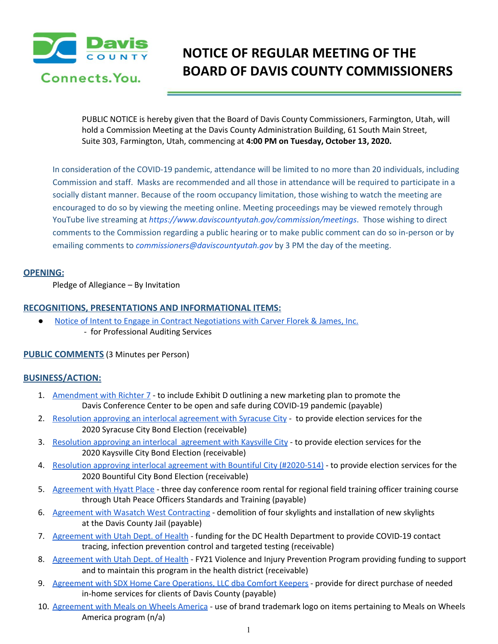

# **NOTICE OF REGULAR MEETING OF THE BOARD OF DAVIS COUNTY COMMISSIONERS**

PUBLIC NOTICE is hereby given that the Board of Davis County Commissioners, Farmington, Utah, will hold a Commission Meeting at the Davis County Administration Building, 61 South Main Street, Suite 303, Farmington, Utah, commencing at **4:00 PM on Tuesday, October 13, 2020.**

In consideration of the COVID-19 pandemic, attendance will be limited to no more than 20 individuals, including Commission and staff. Masks are recommended and all those in attendance will be required to participate in a socially distant manner. Because of the room occupancy limitation, those wishing to watch the meeting are encouraged to do so by viewing the meeting online. Meeting proceedings may be viewed remotely through YouTube live streaming at *<https://www.daviscountyutah.gov/commission/meetings>*. Those wishing to direct comments to the Commission regarding a public hearing or to make public comment can do so in-person or by emailing comments to *commissioners@daviscountyutah.gov* by 3 PM the day of the meeting.

## **OPENING:**

Pledge of Allegiance – By Invitation

## **RECOGNITIONS, PRESENTATIONS AND INFORMATIONAL ITEMS:**

Notice of Intent to Engage in Contract [Negotiations](https://drive.google.com/file/d/1IILOIH_zQulQStUxHRjIFGX2tZfMfCIY/view?usp=drivesdk) with Carver Florek & James, Inc. - for Professional Auditing Services

## **PUBLIC COMMENTS** (3 Minutes per Person)

## **BUSINESS/ACTION:**

- 1. [Amendment](https://drive.google.com/file/d/1t9YJTuKUlXnTWWS-At1-cpF__U7mj7JE/view?usp=drivesdk) with Richter 7 to include Exhibit D outlining a new [marketing](https://drive.google.com/file/d/1t9YJTuKUlXnTWWS-At1-cpF__U7mj7JE/view?usp=drivesdk) plan to promote the Davis [Conference](https://drive.google.com/file/d/1t9YJTuKUlXnTWWS-At1-cpF__U7mj7JE/view?usp=drivesdk) Center to be open and safe during COVID-19 pandemic (payable)
- 2. Resolution approving an interlocal [agreement](https://drive.google.com/file/d/1VTgNWjFXteEUgW4XEjqOkClcf9kV0icv/view?usp=drivesdk) with Syracuse City to provide election services for the 2020 Syracuse City Bond Election (receivable)
- 3. Resolution approving an interlocal [agreement](https://drive.google.com/file/d/1xCh0kG1_5n4zRaxQOS_p9NOywHf2dM_a/view?usp=drivesdk) with Kaysville City to provide election services for the 2020 Kaysville City Bond Election (receivable)
- 4. Resolution approving interlocal agreement with Bountiful City [\(#2020-514\)](https://drive.google.com/file/d/14YRT5DPS6oFZNguxZosOUDF2dXL28_BY/view?usp=drivesdk) to provide election services for the 2020 Bountiful City Bond Election (receivable)
- 5. [Agreement](https://drive.google.com/file/d/1egbpR-HVKcVTtrSpYMl3X0_jcFIxWgsw/view?usp=drivesdk) with Hyatt Place three day conference room rental for regional field training officer training course through Utah Peace Officers Standards and Training (payable)
- 6. Agreement with Wasatch West [Contracting](https://drive.google.com/file/d/1VQrPPNRNSdsX_jtklS8XYaBHvO3V2z-4/view?usp=drivesdk) demolition of four skylights and installation of new skylights at the Davis County Jail (payable)
- 7. [Agreement](https://drive.google.com/file/d/1fklVAS74pRlClyZS9_wwlDFhJ6eRLT2Q/view?usp=drivesdk) with Utah Dept. of Health funding for the DC Health Department to provide COVID-19 contact tracing, infection prevention control and targeted testing (receivable)
- 8. [Agreement](https://drive.google.com/file/d/10tc0F6H8F7wQc6F3P_L1HTl9ciQoBt05/view?usp=drivesdk) with Utah Dept. of Health FY21 Violence and Injury Prevention Program providing funding to support and to maintain this program in the health district (receivable)
- 9. Agreement with SDX Home Care [Operations,](https://drive.google.com/file/d/1DGw6F9m03-2F_ueF7BwQ4MlWt6Kvs4qV/view?usp=drivesdk) LLC dba Comfort Keepers provide for direct purchase of needed in-home services for clients of Davis County (payable)
- 10. [Agreement](https://drive.google.com/file/d/1Xega6Z_w-Mup74BpWsplUV9krhve5U2m/view?usp=drivesdk) with Meals on Wheels America use of brand trademark logo on items pertaining to Meals on Wheels America program (n/a)